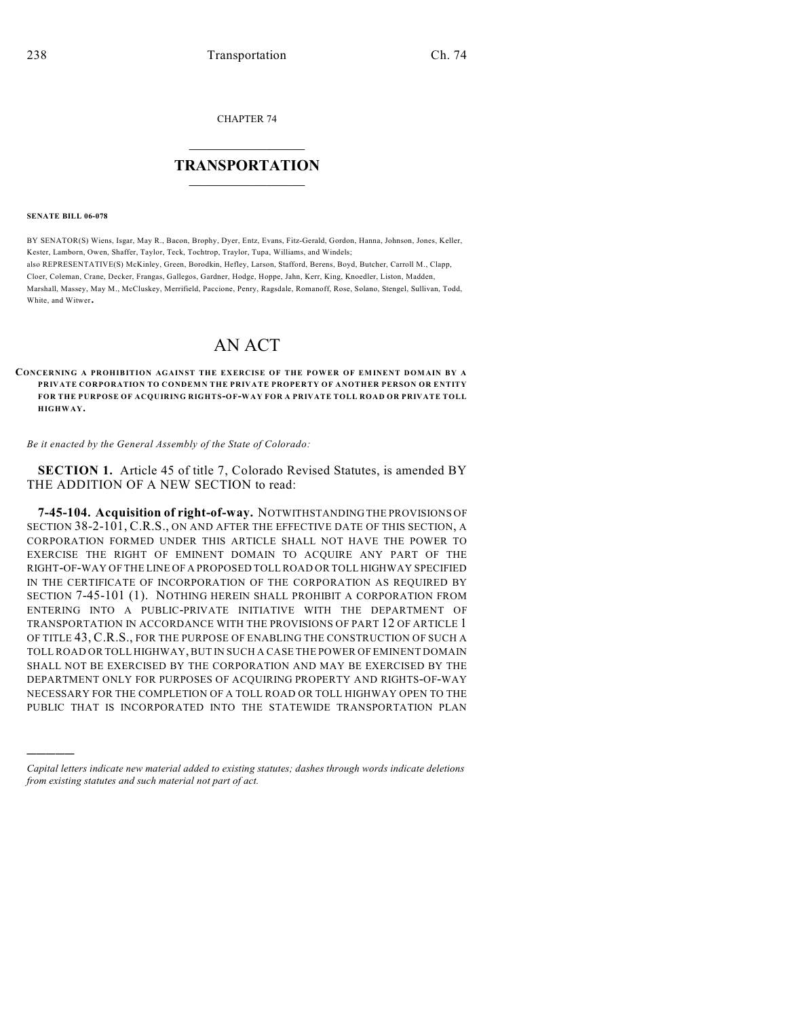CHAPTER 74

## $\overline{\phantom{a}}$  . The set of the set of the set of the set of the set of the set of the set of the set of the set of the set of the set of the set of the set of the set of the set of the set of the set of the set of the set o **TRANSPORTATION**  $\_$   $\_$   $\_$   $\_$   $\_$   $\_$   $\_$   $\_$   $\_$

**SENATE BILL 06-078**

)))))

BY SENATOR(S) Wiens, Isgar, May R., Bacon, Brophy, Dyer, Entz, Evans, Fitz-Gerald, Gordon, Hanna, Johnson, Jones, Keller, Kester, Lamborn, Owen, Shaffer, Taylor, Teck, Tochtrop, Traylor, Tupa, Williams, and Windels; also REPRESENTATIVE(S) McKinley, Green, Borodkin, Hefley, Larson, Stafford, Berens, Boyd, Butcher, Carroll M., Clapp, Cloer, Coleman, Crane, Decker, Frangas, Gallegos, Gardner, Hodge, Hoppe, Jahn, Kerr, King, Knoedler, Liston, Madden, Marshall, Massey, May M., McCluskey, Merrifield, Paccione, Penry, Ragsdale, Romanoff, Rose, Solano, Stengel, Sullivan, Todd, White, and Witwer.

## AN ACT

**CONCERNING A PROHIBITION AGAINST THE EXERCISE OF THE POWER OF EMINENT DOMAIN BY A PRIVATE CORPORATION TO CONDEMN THE PRIVATE PROPERTY OF ANOTHER PERSON OR ENTITY FOR THE PURPOSE OF ACQUIRING RIGHTS-OF-WAY FOR A PRIVATE TOLL ROAD OR PRIVATE TOLL HIGHWAY.**

*Be it enacted by the General Assembly of the State of Colorado:*

**SECTION 1.** Article 45 of title 7, Colorado Revised Statutes, is amended BY THE ADDITION OF A NEW SECTION to read:

**7-45-104. Acquisition of right-of-way.** NOTWITHSTANDING THE PROVISIONS OF SECTION 38-2-101, C.R.S., ON AND AFTER THE EFFECTIVE DATE OF THIS SECTION, A CORPORATION FORMED UNDER THIS ARTICLE SHALL NOT HAVE THE POWER TO EXERCISE THE RIGHT OF EMINENT DOMAIN TO ACQUIRE ANY PART OF THE RIGHT-OF-WAY OF THE LINE OF A PROPOSED TOLL ROAD OR TOLL HIGHWAY SPECIFIED IN THE CERTIFICATE OF INCORPORATION OF THE CORPORATION AS REQUIRED BY SECTION 7-45-101 (1). NOTHING HEREIN SHALL PROHIBIT A CORPORATION FROM ENTERING INTO A PUBLIC-PRIVATE INITIATIVE WITH THE DEPARTMENT OF TRANSPORTATION IN ACCORDANCE WITH THE PROVISIONS OF PART 12 OF ARTICLE 1 OF TITLE 43, C.R.S., FOR THE PURPOSE OF ENABLING THE CONSTRUCTION OF SUCH A TOLL ROAD OR TOLL HIGHWAY, BUT IN SUCH A CASE THE POWER OF EMINENT DOMAIN SHALL NOT BE EXERCISED BY THE CORPORATION AND MAY BE EXERCISED BY THE DEPARTMENT ONLY FOR PURPOSES OF ACQUIRING PROPERTY AND RIGHTS-OF-WAY NECESSARY FOR THE COMPLETION OF A TOLL ROAD OR TOLL HIGHWAY OPEN TO THE PUBLIC THAT IS INCORPORATED INTO THE STATEWIDE TRANSPORTATION PLAN

*Capital letters indicate new material added to existing statutes; dashes through words indicate deletions from existing statutes and such material not part of act.*